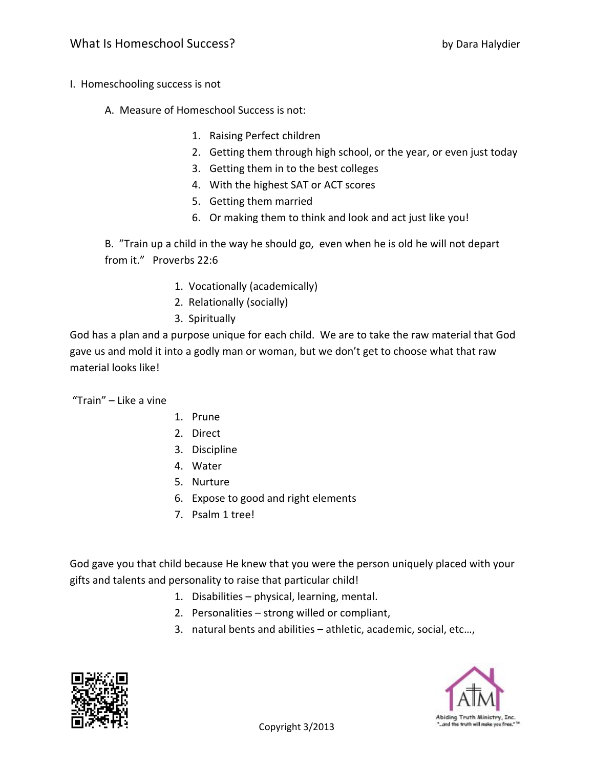- I. Homeschooling success is not
	- A. Measure of Homeschool Success is not:
		- 1. Raising Perfect children
		- 2. Getting them through high school, or the year, or even just today
		- 3. Getting them in to the best colleges
		- 4. With the highest SAT or ACT scores
		- 5. Getting them married
		- 6. Or making them to think and look and act just like you!

B. "Train up a child in the way he should go, even when he is old he will not depart from it." Proverbs 22:6

- 1. Vocationally (academically)
- 2. Relationally (socially)
- 3. Spiritually

God has a plan and a purpose unique for each child. We are to take the raw material that God gave us and mold it into a godly man or woman, but we don't get to choose what that raw material looks like!

"Train" – Like a vine

- 1. Prune
- 2. Direct
- 3. Discipline
- 4. Water
- 5. Nurture
- 6. Expose to good and right elements
- 7. Psalm 1 tree!

God gave you that child because He knew that you were the person uniquely placed with your gifts and talents and personality to raise that particular child!

- 1. Disabilities physical, learning, mental.
- 2. Personalities strong willed or compliant,
- 3. natural bents and abilities athletic, academic, social, etc…,



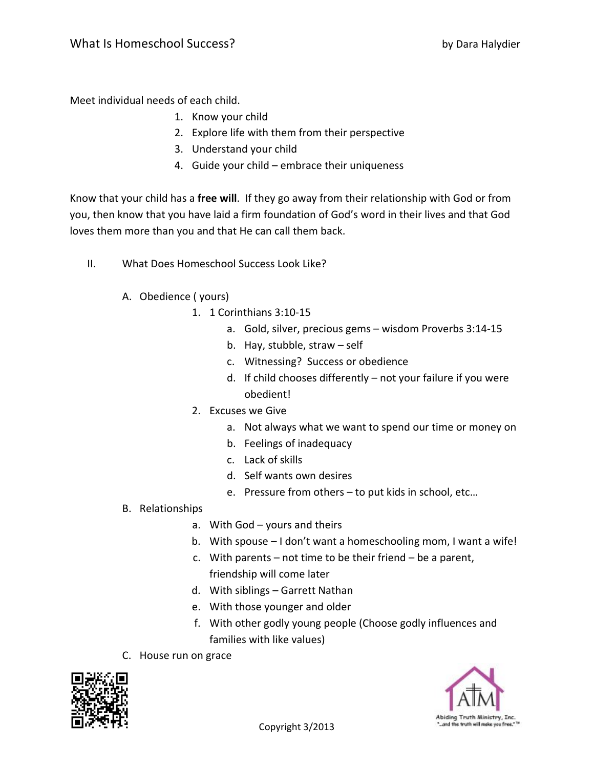Meet individual needs of each child.

- 1. Know your child
- 2. Explore life with them from their perspective
- 3. Understand your child
- 4. Guide your child embrace their uniqueness

Know that your child has a **free will**. If they go away from their relationship with God or from you, then know that you have laid a firm foundation of God's word in their lives and that God loves them more than you and that He can call them back.

- II. What Does Homeschool Success Look Like?
	- A. Obedience ( yours)
		- 1. 1 Corinthians 3:10‐15
			- a. Gold, silver, precious gems wisdom Proverbs 3:14‐15
			- b. Hay, stubble, straw self
			- c. Witnessing? Success or obedience
			- d. If child chooses differently not your failure if you were obedient!
		- 2. Excuses we Give
			- a. Not always what we want to spend our time or money on
			- b. Feelings of inadequacy
			- c. Lack of skills
			- d. Self wants own desires
			- e. Pressure from others to put kids in school, etc…

## B. Relationships

- a. With God yours and theirs
- b. With spouse I don't want a homeschooling mom, I want a wife!
- c. With parents not time to be their friend be a parent, friendship will come later
- d. With siblings Garrett Nathan
- e. With those younger and older
- f. With other godly young people (Choose godly influences and families with like values)
- C. House run on grace